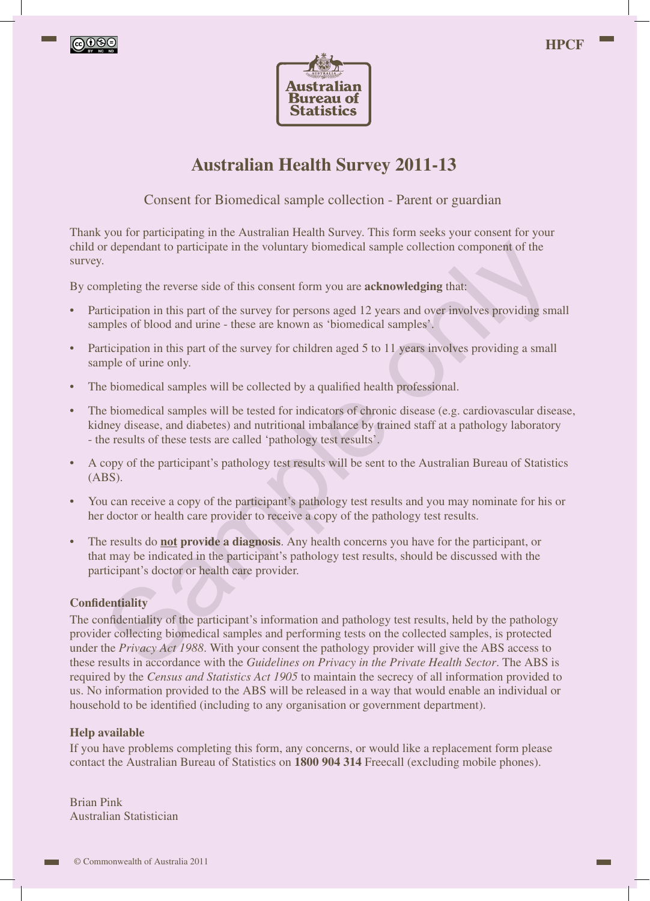





# **Australian Health Survey 2011-13**

Consent for Biomedical sample collection - Parent or guardian

Thank you for participating in the Australian Health Survey. This form seeks your consent for your child or dependant to participate in the voluntary biomedical sample collection component of the survey.

By completing the reverse side of this consent form you are **acknowledging** that:

- Participation in this part of the survey for persons aged 12 years and over involves providing small samples of blood and urine - these are known as 'biomedical samples'.
- Participation in this part of the survey for children aged 5 to 11 years involves providing a small sample of urine only.
- The biomedical samples will be collected by a qualified health professional.
- The biomedical samples will be tested for indicators of chronic disease (e.g. cardiovascular disease, kidney disease, and diabetes) and nutritional imbalance by trained staff at a pathology laboratory - the results of these tests are called 'pathology test results'.
- A copy of the participant's pathology test results will be sent to the Australian Bureau of Statistics (ABS).
- You can receive a copy of the participant's pathology test results and you may nominate for his or her doctor or health care provider to receive a copy of the pathology test results.
- The results do **not provide a diagnosis**. Any health concerns you have for the participant, or that may be indicated in the participant's pathology test results, should be discussed with the participant's doctor or health care provider.

#### **Confidentiality**

The confidentiality of the participant's information and pathology test results, held by the pathology provider collecting biomedical samples and performing tests on the collected samples, is protected under the *Privacy Act 1988*. With your consent the pathology provider will give the ABS access to these results in accordance with the *Guidelines on Privacy in the Private Health Sector*. The ABS is required by the *Census and Statistics Act 1905* to maintain the secrecy of all information provided to us. No information provided to the ABS will be released in a way that would enable an individual or household to be identified (including to any organisation or government department). The properation participate in the voluntary biomedical sample collection component of the<br>
The properting the reverse side of this consent form you are acknowledging that:<br>
The properting the reverse side of this consent

#### **Help available**

If you have problems completing this form, any concerns, or would like a replacement form please contact the Australian Bureau of Statistics on **1800 904 314** Freecall (excluding mobile phones).

Brian Pink Australian Statistician